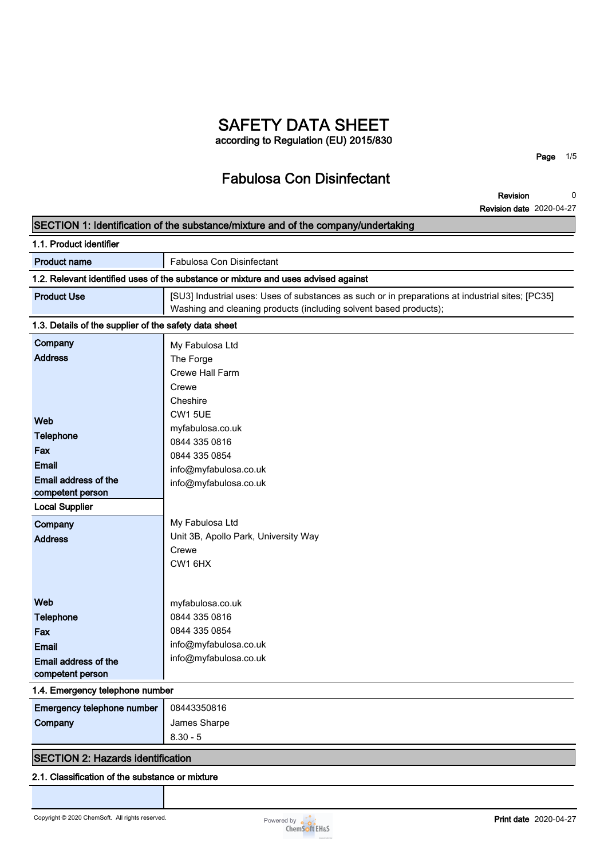# **SAFETY DATA SHEET according to Regulation (EU) 2015/830**

**Fabulosa Con Disinfectant**

**Page 1/5**

**Revision Revision date 2020-04-27 0**

| SECTION 1: Identification of the substance/mixture and of the company/undertaking                                                                                             |                                                                                                                                                                                                                                                                    |  |
|-------------------------------------------------------------------------------------------------------------------------------------------------------------------------------|--------------------------------------------------------------------------------------------------------------------------------------------------------------------------------------------------------------------------------------------------------------------|--|
| 1.1. Product identifier                                                                                                                                                       |                                                                                                                                                                                                                                                                    |  |
| <b>Product name</b>                                                                                                                                                           | Fabulosa Con Disinfectant                                                                                                                                                                                                                                          |  |
|                                                                                                                                                                               | 1.2. Relevant identified uses of the substance or mixture and uses advised against                                                                                                                                                                                 |  |
| <b>Product Use</b>                                                                                                                                                            | [SU3] Industrial uses: Uses of substances as such or in preparations at industrial sites; [PC35]<br>Washing and cleaning products (including solvent based products);                                                                                              |  |
| 1.3. Details of the supplier of the safety data sheet                                                                                                                         |                                                                                                                                                                                                                                                                    |  |
| Company<br><b>Address</b><br>Web<br><b>Telephone</b><br>Fax<br><b>Email</b><br>Email address of the<br>competent person<br><b>Local Supplier</b><br>Company<br><b>Address</b> | My Fabulosa Ltd<br>The Forge<br>Crewe Hall Farm<br>Crewe<br>Cheshire<br><b>CW1 5UE</b><br>myfabulosa.co.uk<br>0844 335 0816<br>0844 335 0854<br>info@myfabulosa.co.uk<br>info@myfabulosa.co.uk<br>My Fabulosa Ltd<br>Unit 3B, Apollo Park, University Way<br>Crewe |  |
| Web<br><b>Telephone</b><br>Fax<br><b>Email</b><br>Email address of the<br>competent person<br>1.4. Emergency telephone number<br>Emergency telephone number<br>Company        | CW <sub>1</sub> 6H <sub>X</sub><br>myfabulosa.co.uk<br>0844 335 0816<br>0844 335 0854<br>info@myfabulosa.co.uk<br>info@myfabulosa.co.uk<br>08443350816<br>James Sharpe<br>$8.30 - 5$                                                                               |  |
| <b>SECTION 2: Hazards identification</b>                                                                                                                                      |                                                                                                                                                                                                                                                                    |  |
| 2.1. Classification of the substance or mixture                                                                                                                               |                                                                                                                                                                                                                                                                    |  |

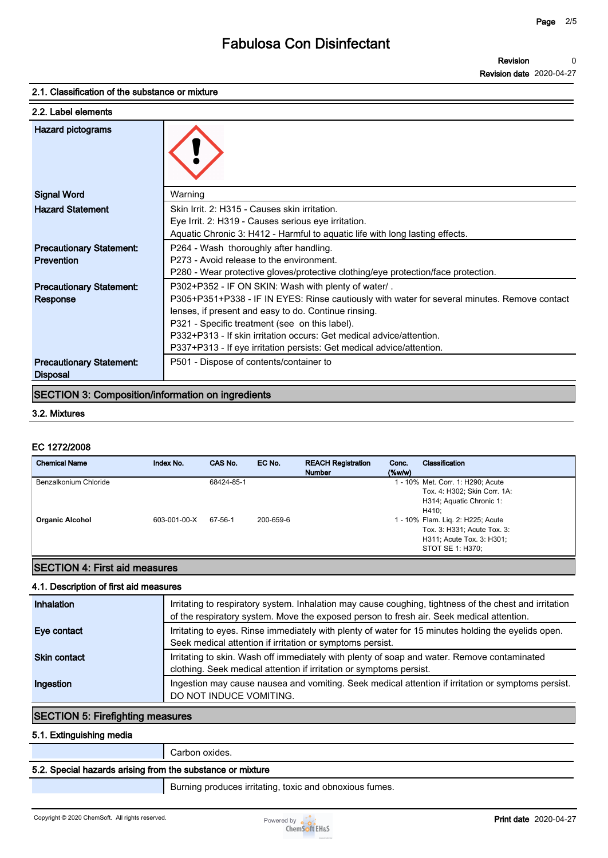#### **2.1. Classification of the substance or mixture**

| 2.2. Label elements             |                                                                                              |
|---------------------------------|----------------------------------------------------------------------------------------------|
| <b>Hazard pictograms</b>        |                                                                                              |
| <b>Signal Word</b>              | Warning                                                                                      |
| <b>Hazard Statement</b>         | Skin Irrit. 2: H315 - Causes skin irritation.                                                |
|                                 | Eye Irrit. 2: H319 - Causes serious eye irritation.                                          |
|                                 | Aquatic Chronic 3: H412 - Harmful to aquatic life with long lasting effects.                 |
| <b>Precautionary Statement:</b> | P264 - Wash thoroughly after handling.                                                       |
| <b>Prevention</b>               | P273 - Avoid release to the environment.                                                     |
|                                 | P280 - Wear protective gloves/protective clothing/eye protection/face protection.            |
| <b>Precautionary Statement:</b> | P302+P352 - IF ON SKIN: Wash with plenty of water/.                                          |
| Response                        | P305+P351+P338 - IF IN EYES: Rinse cautiously with water for several minutes. Remove contact |
|                                 | lenses, if present and easy to do. Continue rinsing.                                         |
|                                 | P321 - Specific treatment (see on this label).                                               |
|                                 | P332+P313 - If skin irritation occurs: Get medical advice/attention.                         |
|                                 | P337+P313 - If eye irritation persists: Get medical advice/attention.                        |
| <b>Precautionary Statement:</b> | P501 - Dispose of contents/container to                                                      |
| <b>Disposal</b>                 |                                                                                              |

## **SECTION 3: Composition/information on ingredients**

#### **3.2. Mixtures**

#### **EC 1272/2008**

| <b>Precautionary Statement:</b><br><b>Disposal</b>       |              | P501 - Dispose of contents/container to |           |                                            |                    |                                                                                                                                                                                                         |
|----------------------------------------------------------|--------------|-----------------------------------------|-----------|--------------------------------------------|--------------------|---------------------------------------------------------------------------------------------------------------------------------------------------------------------------------------------------------|
| <b>SECTION 3: Composition/information on ingredients</b> |              |                                         |           |                                            |                    |                                                                                                                                                                                                         |
| 3.2. Mixtures                                            |              |                                         |           |                                            |                    |                                                                                                                                                                                                         |
| EC 1272/2008                                             |              |                                         |           |                                            |                    |                                                                                                                                                                                                         |
| <b>Chemical Name</b>                                     | Index No.    | CAS No.                                 | EC No.    | <b>REACH Registration</b><br><b>Number</b> | Conc.<br>$(\%w/w)$ | <b>Classification</b>                                                                                                                                                                                   |
| Benzalkonium Chloride<br><b>Organic Alcohol</b>          | 603-001-00-X | 68424-85-1<br>67-56-1                   | 200-659-6 |                                            |                    | 1 - 10% Met. Corr. 1: H290; Acute<br>Tox. 4: H302; Skin Corr. 1A:<br>H314; Aquatic Chronic 1:<br>H410;<br>1 - 10% Flam. Lig. 2: H225; Acute<br>Tox. 3: H331; Acute Tox. 3:<br>H311; Acute Tox. 3: H301; |
|                                                          |              |                                         |           |                                            |                    | STOT SE 1: H370;                                                                                                                                                                                        |

## **SECTION 4: First aid measures**

#### **4.1. Description of first aid measures**

| Inhalation          | Irritating to respiratory system. Inhalation may cause coughing, tightness of the chest and irritation<br>of the respiratory system. Move the exposed person to fresh air. Seek medical attention. |
|---------------------|----------------------------------------------------------------------------------------------------------------------------------------------------------------------------------------------------|
| Eye contact         | Irritating to eyes. Rinse immediately with plenty of water for 15 minutes holding the eyelids open.<br>Seek medical attention if irritation or symptoms persist.                                   |
| <b>Skin contact</b> | Irritating to skin. Wash off immediately with plenty of soap and water. Remove contaminated<br>clothing. Seek medical attention if irritation or symptoms persist.                                 |
| Ingestion           | Ingestion may cause nausea and vomiting. Seek medical attention if irritation or symptoms persist.<br>DO NOT INDUCE VOMITING.                                                                      |

## **SECTION 5: Firefighting measures**

#### **5.1. Extinguishing media**

**Carbon oxides.**

### **5.2. Special hazards arising from the substance or mixture**

**Burning produces irritating, toxic and obnoxious fumes.**

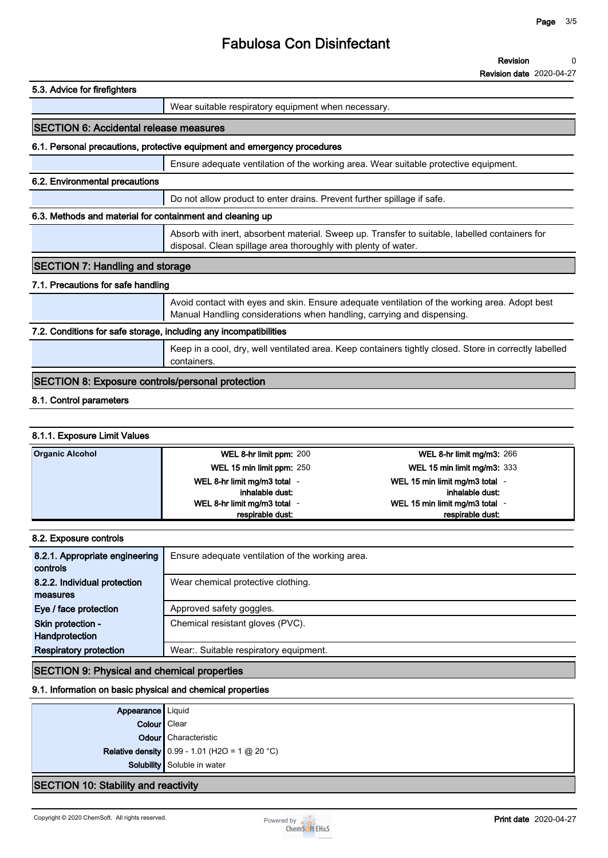# **Fabulosa Con Disinfectant**

| 5.3. Advice for firefighters                                      |                                                                                                                                                                         |
|-------------------------------------------------------------------|-------------------------------------------------------------------------------------------------------------------------------------------------------------------------|
|                                                                   | Wear suitable respiratory equipment when necessary.                                                                                                                     |
| <b>SECTION 6: Accidental release measures</b>                     |                                                                                                                                                                         |
|                                                                   | 6.1. Personal precautions, protective equipment and emergency procedures                                                                                                |
|                                                                   | Ensure adequate ventilation of the working area. Wear suitable protective equipment.                                                                                    |
| 6.2. Environmental precautions                                    |                                                                                                                                                                         |
|                                                                   | Do not allow product to enter drains. Prevent further spillage if safe.                                                                                                 |
| 6.3. Methods and material for containment and cleaning up         |                                                                                                                                                                         |
|                                                                   | Absorb with inert, absorbent material. Sweep up. Transfer to suitable, labelled containers for<br>disposal. Clean spillage area thoroughly with plenty of water.        |
| <b>SECTION 7: Handling and storage</b>                            |                                                                                                                                                                         |
| 7.1. Precautions for safe handling                                |                                                                                                                                                                         |
|                                                                   | Avoid contact with eyes and skin. Ensure adequate ventilation of the working area. Adopt best<br>Manual Handling considerations when handling, carrying and dispensing. |
| 7.2. Conditions for safe storage, including any incompatibilities |                                                                                                                                                                         |
|                                                                   | Keep in a cool, dry, well ventilated area. Keep containers tightly closed. Store in correctly labelled<br>containers.                                                   |
| <b>SECTION 8: Exposure controls/personal protection</b>           |                                                                                                                                                                         |
| 8.1. Control parameters                                           |                                                                                                                                                                         |
|                                                                   |                                                                                                                                                                         |

### **8.1.1. Exposure Limit Values**

| <b>Organic Alcohol</b> | WEL 8-hr limit ppm: 200    | WEL 8-hr limit mg/m3: $266$        |
|------------------------|----------------------------|------------------------------------|
|                        | WEL 15 min limit ppm: 250  | <b>WEL 15 min limit mg/m3: 333</b> |
|                        | WEL 8-hr limit mg/m3 total | WEL 15 min limit mg/m3 total       |
|                        | inhalable dust:            | inhalable dust:                    |
|                        | WEL 8-hr limit mg/m3 total | WEL 15 min limit mg/m3 total       |
|                        | respirable dust:           | respirable dust:                   |

| 8.2. Exposure controls         |                                                  |  |  |
|--------------------------------|--------------------------------------------------|--|--|
| 8.2.1. Appropriate engineering | Ensure adequate ventilation of the working area. |  |  |
| controls                       |                                                  |  |  |
| 8.2.2. Individual protection   | Wear chemical protective clothing.               |  |  |
| measures                       |                                                  |  |  |
| Eye / face protection          | Approved safety goggles.                         |  |  |
| Skin protection -              | Chemical resistant gloves (PVC).                 |  |  |
| Handprotection                 |                                                  |  |  |
| <b>Respiratory protection</b>  | Wear: Suitable respiratory equipment.            |  |  |
|                                |                                                  |  |  |

# **SECTION 9: Physical and chemical properties**

## **9.1. Information on basic physical and chemical properties**

| <b>Appearance</b> Liquid                    |                                                       |
|---------------------------------------------|-------------------------------------------------------|
| Colour   Clear                              |                                                       |
|                                             | <b>Odour</b> Characteristic                           |
|                                             | <b>Relative density</b> 0.99 - 1.01 (H2O = 1 @ 20 °C) |
|                                             | Solubility Soluble in water                           |
| <b>SECTION 10: Stability and reactivity</b> |                                                       |

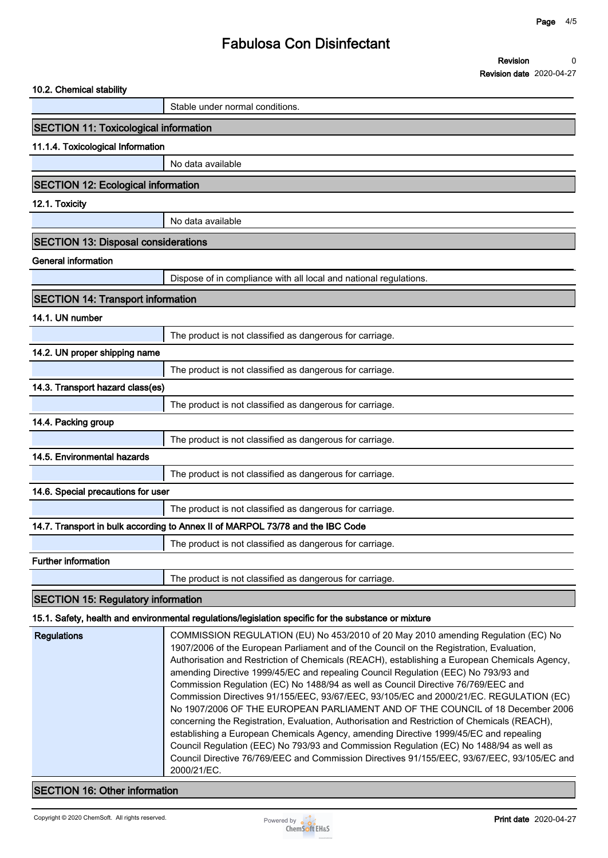# **Fabulosa Con Disinfectant**

| 10.2. Chemical stability                                                                             |                                                                                |  |  |  |  |
|------------------------------------------------------------------------------------------------------|--------------------------------------------------------------------------------|--|--|--|--|
|                                                                                                      | Stable under normal conditions.                                                |  |  |  |  |
|                                                                                                      | <b>SECTION 11: Toxicological information</b>                                   |  |  |  |  |
| 11.1.4. Toxicological Information                                                                    |                                                                                |  |  |  |  |
|                                                                                                      | No data available                                                              |  |  |  |  |
| <b>SECTION 12: Ecological information</b>                                                            |                                                                                |  |  |  |  |
| 12.1. Toxicity                                                                                       |                                                                                |  |  |  |  |
|                                                                                                      | No data available                                                              |  |  |  |  |
| <b>SECTION 13: Disposal considerations</b>                                                           |                                                                                |  |  |  |  |
| <b>General information</b>                                                                           |                                                                                |  |  |  |  |
|                                                                                                      | Dispose of in compliance with all local and national regulations.              |  |  |  |  |
| <b>SECTION 14: Transport information</b>                                                             |                                                                                |  |  |  |  |
| 14.1. UN number                                                                                      |                                                                                |  |  |  |  |
|                                                                                                      | The product is not classified as dangerous for carriage.                       |  |  |  |  |
| 14.2. UN proper shipping name                                                                        |                                                                                |  |  |  |  |
|                                                                                                      | The product is not classified as dangerous for carriage.                       |  |  |  |  |
| 14.3. Transport hazard class(es)                                                                     |                                                                                |  |  |  |  |
|                                                                                                      | The product is not classified as dangerous for carriage.                       |  |  |  |  |
| 14.4. Packing group                                                                                  |                                                                                |  |  |  |  |
|                                                                                                      | The product is not classified as dangerous for carriage.                       |  |  |  |  |
| 14.5. Environmental hazards                                                                          |                                                                                |  |  |  |  |
|                                                                                                      | The product is not classified as dangerous for carriage.                       |  |  |  |  |
| 14.6. Special precautions for user                                                                   |                                                                                |  |  |  |  |
|                                                                                                      | The product is not classified as dangerous for carriage.                       |  |  |  |  |
|                                                                                                      | 14.7. Transport in bulk according to Annex II of MARPOL 73/78 and the IBC Code |  |  |  |  |
|                                                                                                      | The product is not classified as dangerous for carriage.                       |  |  |  |  |
| <b>Further information</b>                                                                           |                                                                                |  |  |  |  |
|                                                                                                      | The product is not classified as dangerous for carriage.                       |  |  |  |  |
| <b>SECTION 15: Regulatory information</b>                                                            |                                                                                |  |  |  |  |
| 15.1. Safety, health and environmental regulations/legislation specific for the substance or mixture |                                                                                |  |  |  |  |
|                                                                                                      |                                                                                |  |  |  |  |

| <b>Regulations</b> | COMMISSION REGULATION (EU) No 453/2010 of 20 May 2010 amending Regulation (EC) No             |
|--------------------|-----------------------------------------------------------------------------------------------|
|                    | 1907/2006 of the European Parliament and of the Council on the Registration, Evaluation,      |
|                    | Authorisation and Restriction of Chemicals (REACH), establishing a European Chemicals Agency, |
|                    | amending Directive 1999/45/EC and repealing Council Regulation (EEC) No 793/93 and            |
|                    | Commission Regulation (EC) No 1488/94 as well as Council Directive 76/769/EEC and             |
|                    | Commission Directives 91/155/EEC, 93/67/EEC, 93/105/EC and 2000/21/EC. REGULATION (EC)        |
|                    | No 1907/2006 OF THE EUROPEAN PARLIAMENT AND OF THE COUNCIL of 18 December 2006                |
|                    | concerning the Registration, Evaluation, Authorisation and Restriction of Chemicals (REACH),  |
|                    | establishing a European Chemicals Agency, amending Directive 1999/45/EC and repealing         |
|                    | Council Regulation (EEC) No 793/93 and Commission Regulation (EC) No 1488/94 as well as       |
|                    | Council Directive 76/769/EEC and Commission Directives 91/155/EEC, 93/67/EEC, 93/105/EC and   |
|                    | 2000/21/EC.                                                                                   |

# **SECTION 16: Other information**